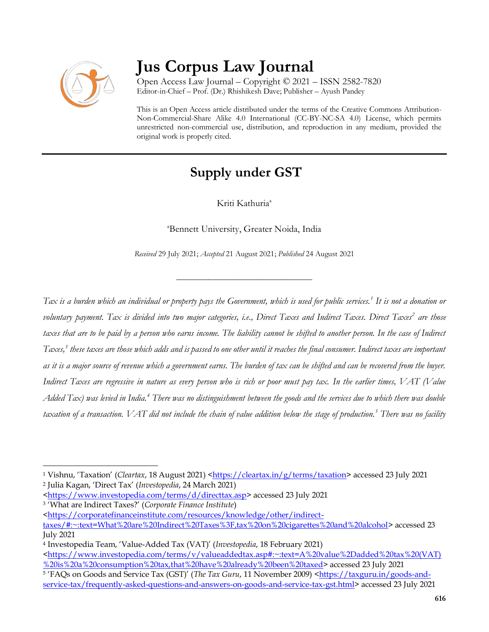

# **Jus Corpus Law Journal**

Open Access Law Journal – Copyright © 2021 – ISSN 2582-7820 Editor-in-Chief – Prof. (Dr.) Rhishikesh Dave; Publisher – Ayush Pandey

This is an Open Access article distributed under the terms of the Creative Commons Attribution-Non-Commercial-Share Alike 4.0 International (CC-BY-NC-SA 4.0) License, which permits unrestricted non-commercial use, distribution, and reproduction in any medium, provided the original work is properly cited.

## **Supply under GST**

Kriti Kathuria<sup>a</sup>

<sup>a</sup>Bennett University, Greater Noida, India

*Received* 29 July 2021; *Accepted* 21 August 2021; *Published* 24 August 2021

\_\_\_\_\_\_\_\_\_\_\_\_\_\_\_\_\_\_\_\_\_\_\_\_\_\_\_\_\_\_\_\_\_\_

*Tax is a burden which an individual or property pays the Government, which is used for public services.<sup>1</sup> It is not a donation or voluntary payment. Tax is divided into two major categories, i.e., Direct Taxes and Indirect Taxes. Direct Taxes<sup>2</sup> are those taxes that are to be paid by a person who earns income. The liability cannot be shifted to another person. In the case of Indirect Taxes,<sup>3</sup> these taxes are those which adds and is passed to one other until it reaches the final consumer. Indirect taxes are important as it is a major source of revenue which a government earns. The burden of tax can be shifted and can be recovered from the buyer. Indirect Taxes are regressive in nature as every person who is rich or poor must pay tax. In the earlier times, VAT (Value Added Tax) was levied in India.<sup>4</sup> There was no distinguishment between the goods and the services due to which there was double taxation of a transaction. VAT did not include the chain of value addition below the stage of production.<sup>5</sup> There was no facility* 

 $\overline{a}$ <sup>1</sup> Vishnu, 'Taxation' (*Cleartax*, 18 August 2021) [<https://cleartax.in/g/terms/taxation>](https://cleartax.in/g/terms/taxation) accessed 23 July 2021 <sup>2</sup> Julia Kagan, 'Direct Tax' (*Investopedia*, 24 March 2021)

[<sup>&</sup>lt;https://www.investopedia.com/terms/d/directtax.asp>](https://www.investopedia.com/terms/d/directtax.asp) accessed 23 July 2021

<sup>3</sup> 'What are Indirect Taxes?' (*Corporate Finance Institute*)

[<sup>&</sup>lt;https://corporatefinanceinstitute.com/resources/knowledge/other/indirect](https://corporatefinanceinstitute.com/resources/knowledge/other/indirect-taxes/#:~:text=What%20are%20Indirect%20Taxes%3F,tax%20on%20cigarettes%20and%20alcohol)[taxes/#:~:text=What%20are%20Indirect%20Taxes%3F,tax%20on%20cigarettes%20and%20alcohol>](https://corporatefinanceinstitute.com/resources/knowledge/other/indirect-taxes/#:~:text=What%20are%20Indirect%20Taxes%3F,tax%20on%20cigarettes%20and%20alcohol) accessed 23 July 2021

<sup>4</sup> Investopedia Team, 'Value-Added Tax (VAT)' (*Investopedia*, 18 February 2021) [<https://www.investopedia.com/terms/v/valueaddedtax.asp#:~:text=A%20value%2Dadded%20tax%20\(VAT\)](https://www.investopedia.com/terms/v/valueaddedtax.asp#:~:text=A%20value%2Dadded%20tax%20(VAT)%20is%20a%20consumption%20tax,that%20have%20already%20been%20taxed) [%20is%20a%20consumption%20tax,that%20have%20already%20been%20taxed>](https://www.investopedia.com/terms/v/valueaddedtax.asp#:~:text=A%20value%2Dadded%20tax%20(VAT)%20is%20a%20consumption%20tax,that%20have%20already%20been%20taxed) accessed 23 July 2021 <sup>5</sup> 'FAQs on Goods and Service Tax (GST)' (*The Tax Guru*, 11 November 2009) [<https://taxguru.in/goods-and-](https://taxguru.in/goods-and-service-tax/frequently-asked-questions-and-answers-on-goods-and-service-tax-gst.html)

[service-tax/frequently-asked-questions-and-answers-on-goods-and-service-tax-gst.html>](https://taxguru.in/goods-and-service-tax/frequently-asked-questions-and-answers-on-goods-and-service-tax-gst.html) accessed 23 July 2021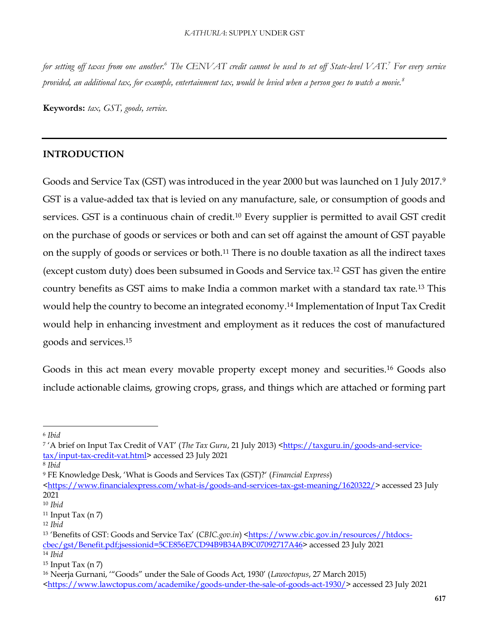*for setting off taxes from one another.<sup>6</sup> The CENVAT credit cannot be used to set off State-level VAT.<sup>7</sup> For every service provided, an additional tax, for example, entertainment tax, would be levied when a person goes to watch a movie.<sup>8</sup>*

**Keywords:** *tax, GST, goods, service.*

#### **INTRODUCTION**

Goods and Service Tax (GST) was introduced in the year 2000 but was launched on 1 July 2017.<sup>9</sup> GST is a value-added tax that is levied on any manufacture, sale, or consumption of goods and services. GST is a continuous chain of credit.<sup>10</sup> Every supplier is permitted to avail GST credit on the purchase of goods or services or both and can set off against the amount of GST payable on the supply of goods or services or both.<sup>11</sup> There is no double taxation as all the indirect taxes (except custom duty) does been subsumed in Goods and Service tax.<sup>12</sup> GST has given the entire country benefits as GST aims to make India a common market with a standard tax rate.<sup>13</sup> This would help the country to become an integrated economy.<sup>14</sup> Implementation of Input Tax Credit would help in enhancing investment and employment as it reduces the cost of manufactured goods and services.<sup>15</sup>

Goods in this act mean every movable property except money and securities.<sup>16</sup> Goods also include actionable claims, growing crops, grass, and things which are attached or forming part

<sup>6</sup> *Ibid*

<sup>&</sup>lt;sup>7</sup> 'A brief on Input Tax Credit of VAT' (*The Tax Guru*, 21 July 2013) [<https://taxguru.in/goods-and-service](https://taxguru.in/goods-and-service-tax/input-tax-credit-vat.html)[tax/input-tax-credit-vat.html>](https://taxguru.in/goods-and-service-tax/input-tax-credit-vat.html) accessed 23 July 2021

<sup>8</sup> *Ibid*

<sup>9</sup> FE Knowledge Desk, 'What is Goods and Services Tax (GST)?' (*Financial Express*)

[<sup>&</sup>lt;https://www.financialexpress.com/what-is/goods-and-services-tax-gst-meaning/1620322/>](https://www.financialexpress.com/what-is/goods-and-services-tax-gst-meaning/1620322/) accessed 23 July 2021

<sup>10</sup> *Ibid*

 $11$  Input Tax (n 7)

<sup>12</sup> *Ibid* 

<sup>&</sup>lt;sup>13</sup> 'Benefits of GST: Goods and Service Tax' (CBIC.gov.in) [<https://www.cbic.gov.in/resources//htdocs](https://www.cbic.gov.in/resources/htdocs-cbec/gst/Benefit.pdf;jsessionid=5CE856E7CD94B9B34AB9C07092717A46)[cbec/gst/Benefit.pdf;jsessionid=5CE856E7CD94B9B34AB9C07092717A46>](https://www.cbic.gov.in/resources/htdocs-cbec/gst/Benefit.pdf;jsessionid=5CE856E7CD94B9B34AB9C07092717A46) accessed 23 July 2021 <sup>14</sup> *Ibid*

 $15$  Input Tax (n  $7$ )

<sup>16</sup> Neerja Gurnani, '"Goods" under the Sale of Goods Act, 1930' (*Lawoctopus*, 27 March 2015)

[<sup>&</sup>lt;https://www.lawctopus.com/academike/goods-under-the-sale-of-goods-act-1930/>](https://www.lawctopus.com/academike/goods-under-the-sale-of-goods-act-1930/) accessed 23 July 2021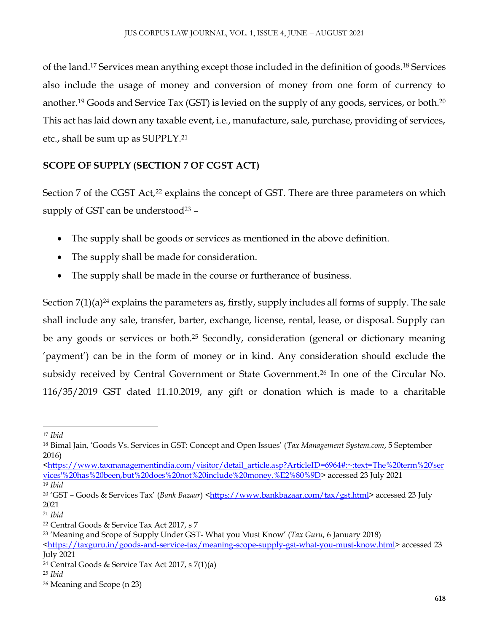of the land.<sup>17</sup> Services mean anything except those included in the definition of goods.<sup>18</sup> Services also include the usage of money and conversion of money from one form of currency to another.<sup>19</sup> Goods and Service Tax (GST) is levied on the supply of any goods, services, or both.<sup>20</sup> This act has laid down any taxable event, i.e., manufacture, sale, purchase, providing of services, etc., shall be sum up as SUPPLY.<sup>21</sup>

## **SCOPE OF SUPPLY (SECTION 7 OF CGST ACT)**

Section 7 of the CGST Act,<sup>22</sup> explains the concept of GST. There are three parameters on which supply of GST can be understood $23$  -

- The supply shall be goods or services as mentioned in the above definition.
- The supply shall be made for consideration.
- The supply shall be made in the course or furtherance of business.

Section  $7(1)(a)^{24}$  explains the parameters as, firstly, supply includes all forms of supply. The sale shall include any sale, transfer, barter, exchange, license, rental, lease, or disposal. Supply can be any goods or services or both.<sup>25</sup> Secondly, consideration (general or dictionary meaning 'payment') can be in the form of money or in kind. Any consideration should exclude the subsidy received by Central Government or State Government.<sup>26</sup> In one of the Circular No. 116/35/2019 GST dated 11.10.2019, any gift or donation which is made to a charitable

[<https://www.taxmanagementindia.com/visitor/detail\\_article.asp?ArticleID=6964#:~:text=The%20term%20'ser](https://www.taxmanagementindia.com/visitor/detail_article.asp?ArticleID=6964#:~:text=The%20term%20) [vices'%20has%20been,but%20does%20not%20include%20money.%E2%80%9D>](https://www.taxmanagementindia.com/visitor/detail_article.asp?ArticleID=6964#:~:text=The%20term%20) accessed 23 July 2021 <sup>19</sup> *Ibid*

 $\ddot{\phantom{a}}$ <sup>17</sup> *Ibid*

<sup>18</sup> Bimal Jain, 'Goods Vs. Services in GST: Concept and Open Issues' (*Tax Management System.com*, 5 September 2016)

<sup>20</sup> 'GST – Goods & Services Tax' (*Bank Bazaar*) [<https://www.bankbazaar.com/tax/gst.html>](https://www.bankbazaar.com/tax/gst.html) accessed 23 July 2021

<sup>21</sup> *Ibid*

<sup>22</sup> Central Goods & Service Tax Act 2017, s 7

<sup>23</sup> 'Meaning and Scope of Supply Under GST- What you Must Know' (*Tax Guru*, 6 January 2018)

[<sup>&</sup>lt;https://taxguru.in/goods-and-service-tax/meaning-scope-supply-gst-what-you-must-know.html>](https://taxguru.in/goods-and-service-tax/meaning-scope-supply-gst-what-you-must-know.html) accessed 23 July 2021

<sup>&</sup>lt;sup>24</sup> Central Goods & Service Tax Act 2017, s  $7(1)(a)$ 

<sup>25</sup> *Ibid*

<sup>26</sup> Meaning and Scope (n 23)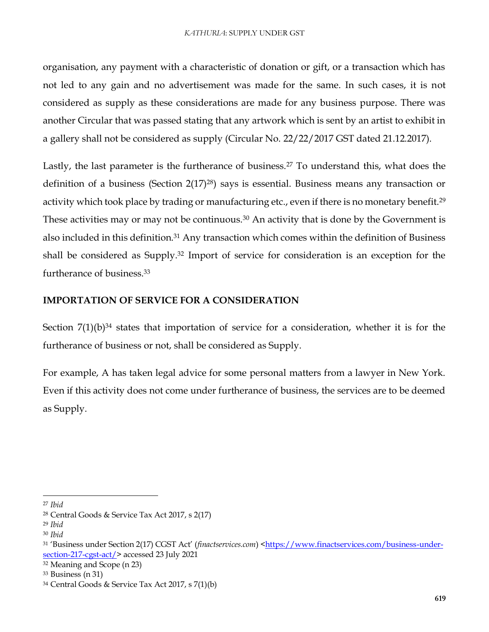organisation, any payment with a characteristic of donation or gift, or a transaction which has not led to any gain and no advertisement was made for the same. In such cases, it is not considered as supply as these considerations are made for any business purpose. There was another Circular that was passed stating that any artwork which is sent by an artist to exhibit in a gallery shall not be considered as supply (Circular No. 22/22/2017 GST dated 21.12.2017).

Lastly, the last parameter is the furtherance of business.<sup>27</sup> To understand this, what does the definition of a business (Section 2(17)28) says is essential. Business means any transaction or activity which took place by trading or manufacturing etc., even if there is no monetary benefit.<sup>29</sup> These activities may or may not be continuous.<sup>30</sup> An activity that is done by the Government is also included in this definition.<sup>31</sup> Any transaction which comes within the definition of Business shall be considered as Supply.<sup>32</sup> Import of service for consideration is an exception for the furtherance of business.<sup>33</sup>

#### **IMPORTATION OF SERVICE FOR A CONSIDERATION**

Section  $7(1)(b)^{34}$  states that importation of service for a consideration, whether it is for the furtherance of business or not, shall be considered as Supply.

For example, A has taken legal advice for some personal matters from a lawyer in New York. Even if this activity does not come under furtherance of business, the services are to be deemed as Supply.

1

<sup>27</sup> *Ibid*

<sup>28</sup> Central Goods & Service Tax Act 2017, s 2(17)

<sup>29</sup> *Ibid*

<sup>30</sup> *Ibid*

<sup>31</sup> 'Business under Section 2(17) CGST Act' (*finactservices.com*) [<https://www.finactservices.com/business-under](https://www.finactservices.com/business-under-section-217-cgst-act/)[section-217-cgst-act/>](https://www.finactservices.com/business-under-section-217-cgst-act/) accessed 23 July 2021

<sup>32</sup> Meaning and Scope (n 23)

<sup>33</sup> Business (n 31)

<sup>34</sup> Central Goods & Service Tax Act 2017, s 7(1)(b)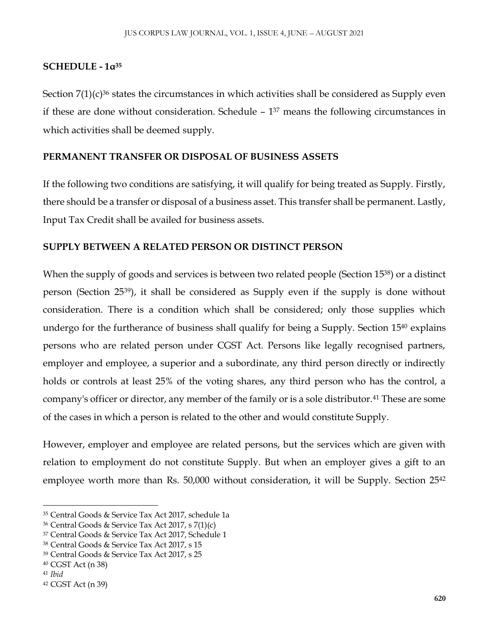#### **SCHEDULE - 1α<sup>35</sup>**

Section  $7(1)(c)^{36}$  states the circumstances in which activities shall be considered as Supply even if these are done without consideration. Schedule – 1 <sup>37</sup> means the following circumstances in which activities shall be deemed supply.

#### **PERMANENT TRANSFER OR DISPOSAL OF BUSINESS ASSETS**

If the following two conditions are satisfying, it will qualify for being treated as Supply. Firstly, there should be a transfer or disposal of a business asset. This transfer shall be permanent. Lastly, Input Tax Credit shall be availed for business assets.

#### **SUPPLY BETWEEN A RELATED PERSON OR DISTINCT PERSON**

When the supply of goods and services is between two related people (Section 1538) or a distinct person (Section 2539), it shall be considered as Supply even if the supply is done without consideration. There is a condition which shall be considered; only those supplies which undergo for the furtherance of business shall qualify for being a Supply. Section 15<sup>40</sup> explains persons who are related person under CGST Act. Persons like legally recognised partners, employer and employee, a superior and a subordinate, any third person directly or indirectly holds or controls at least 25% of the voting shares, any third person who has the control, a company's officer or director, any member of the family or is a sole distributor.<sup>41</sup> These are some of the cases in which a person is related to the other and would constitute Supply.

However, employer and employee are related persons, but the services which are given with relation to employment do not constitute Supply. But when an employer gives a gift to an employee worth more than Rs. 50,000 without consideration, it will be Supply. Section 25<sup>42</sup>

<sup>35</sup> Central Goods & Service Tax Act 2017, schedule 1a

<sup>36</sup> Central Goods & Service Tax Act 2017, s 7(1)(c)

<sup>37</sup> Central Goods & Service Tax Act 2017, Schedule 1

<sup>38</sup> Central Goods & Service Tax Act 2017, s 15

<sup>39</sup> Central Goods & Service Tax Act 2017, s 25

<sup>40</sup> CGST Act (n 38)

<sup>41</sup> *Ibid*

<sup>42</sup> CGST Act (n 39)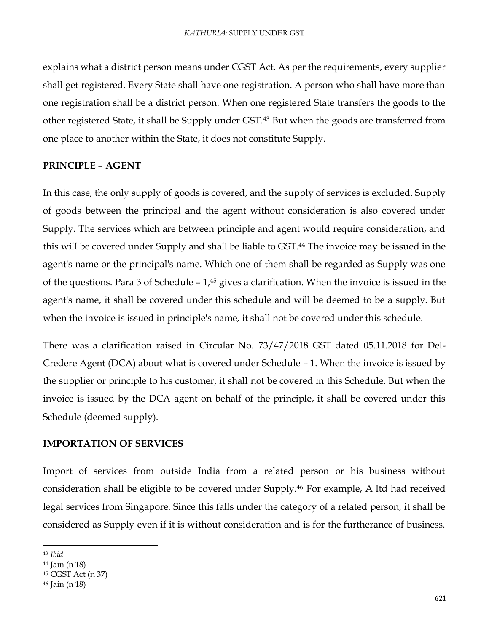explains what a district person means under CGST Act. As per the requirements, every supplier shall get registered. Every State shall have one registration. A person who shall have more than one registration shall be a district person. When one registered State transfers the goods to the other registered State, it shall be Supply under GST.<sup>43</sup> But when the goods are transferred from one place to another within the State, it does not constitute Supply.

#### **PRINCIPLE – AGENT**

In this case, the only supply of goods is covered, and the supply of services is excluded. Supply of goods between the principal and the agent without consideration is also covered under Supply. The services which are between principle and agent would require consideration, and this will be covered under Supply and shall be liable to GST.<sup>44</sup> The invoice may be issued in the agent's name or the principal's name. Which one of them shall be regarded as Supply was one of the questions. Para 3 of Schedule  $-1$ ,<sup>45</sup> gives a clarification. When the invoice is issued in the agent's name, it shall be covered under this schedule and will be deemed to be a supply. But when the invoice is issued in principle's name, it shall not be covered under this schedule.

There was a clarification raised in Circular No. 73/47/2018 GST dated 05.11.2018 for Del-Credere Agent (DCA) about what is covered under Schedule – 1. When the invoice is issued by the supplier or principle to his customer, it shall not be covered in this Schedule. But when the invoice is issued by the DCA agent on behalf of the principle, it shall be covered under this Schedule (deemed supply).

#### **IMPORTATION OF SERVICES**

Import of services from outside India from a related person or his business without consideration shall be eligible to be covered under Supply.<sup>46</sup> For example, A ltd had received legal services from Singapore. Since this falls under the category of a related person, it shall be considered as Supply even if it is without consideration and is for the furtherance of business.

<sup>43</sup> *Ibid*

<sup>44</sup> Jain (n 18)

<sup>45</sup> CGST Act (n 37)

<sup>46</sup> Jain (n 18)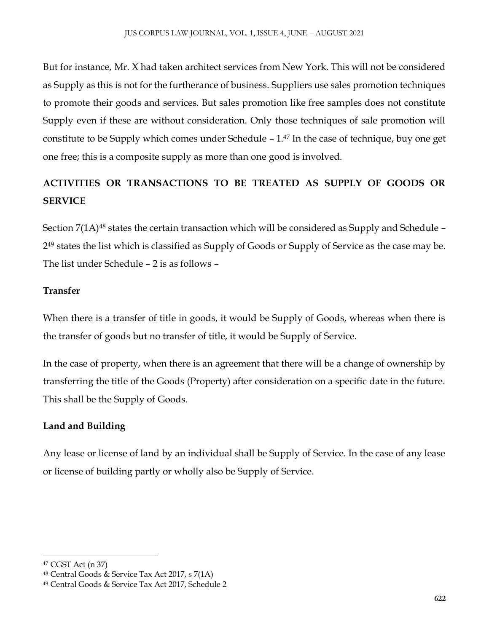But for instance, Mr. X had taken architect services from New York. This will not be considered as Supply as this is not for the furtherance of business. Suppliers use sales promotion techniques to promote their goods and services. But sales promotion like free samples does not constitute Supply even if these are without consideration. Only those techniques of sale promotion will constitute to be Supply which comes under Schedule  $-1$ .<sup>47</sup> In the case of technique, buy one get one free; this is a composite supply as more than one good is involved.

## **ACTIVITIES OR TRANSACTIONS TO BE TREATED AS SUPPLY OF GOODS OR SERVICE**

Section 7(1A)<sup>48</sup> states the certain transaction which will be considered as Supply and Schedule – 2 <sup>49</sup> states the list which is classified as Supply of Goods or Supply of Service as the case may be. The list under Schedule – 2 is as follows –

### **Transfer**

When there is a transfer of title in goods, it would be Supply of Goods, whereas when there is the transfer of goods but no transfer of title, it would be Supply of Service.

In the case of property, when there is an agreement that there will be a change of ownership by transferring the title of the Goods (Property) after consideration on a specific date in the future. This shall be the Supply of Goods.

## **Land and Building**

Any lease or license of land by an individual shall be Supply of Service. In the case of any lease or license of building partly or wholly also be Supply of Service.

 $\overline{a}$ 

<sup>47</sup> CGST Act (n 37)

<sup>48</sup> Central Goods & Service Tax Act 2017, s 7(1A)

<sup>49</sup> Central Goods & Service Tax Act 2017, Schedule 2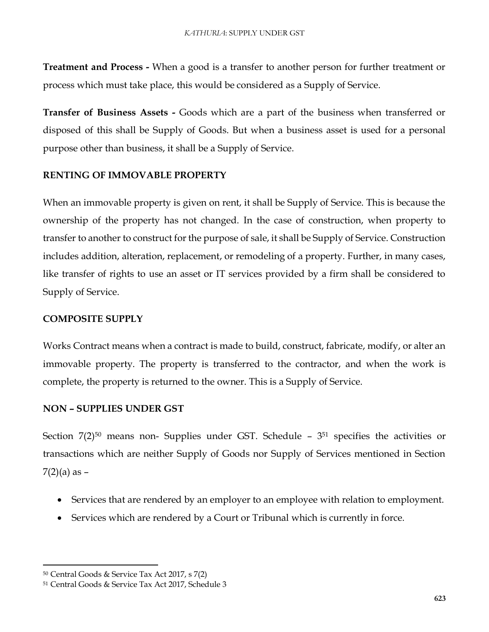**Treatment and Process -** When a good is a transfer to another person for further treatment or process which must take place, this would be considered as a Supply of Service.

**Transfer of Business Assets -** Goods which are a part of the business when transferred or disposed of this shall be Supply of Goods. But when a business asset is used for a personal purpose other than business, it shall be a Supply of Service.

#### **RENTING OF IMMOVABLE PROPERTY**

When an immovable property is given on rent, it shall be Supply of Service. This is because the ownership of the property has not changed. In the case of construction, when property to transfer to another to construct for the purpose of sale, it shall be Supply of Service. Construction includes addition, alteration, replacement, or remodeling of a property. Further, in many cases, like transfer of rights to use an asset or IT services provided by a firm shall be considered to Supply of Service.

#### **COMPOSITE SUPPLY**

Works Contract means when a contract is made to build, construct, fabricate, modify, or alter an immovable property. The property is transferred to the contractor, and when the work is complete, the property is returned to the owner. This is a Supply of Service.

#### **NON – SUPPLIES UNDER GST**

Section 7(2)<sup>50</sup> means non- Supplies under GST. Schedule – 3<sup>51</sup> specifies the activities or transactions which are neither Supply of Goods nor Supply of Services mentioned in Section  $7(2)(a)$  as  $-$ 

- Services that are rendered by an employer to an employee with relation to employment.
- Services which are rendered by a Court or Tribunal which is currently in force.

<sup>50</sup> Central Goods & Service Tax Act 2017, s 7(2)

<sup>51</sup> Central Goods & Service Tax Act 2017, Schedule 3